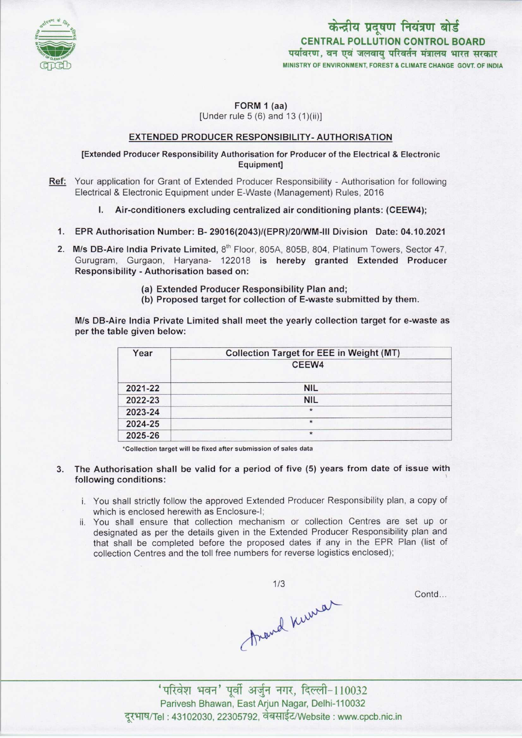

केन्द्रीय प्रदूषण नियंत्रण बोर्ड CENTRAL POLLUTION CONTROL BOARD पर्यावरण, वन एवं जलवाय परिवर्तन मंत्रालय भारत सरकार MINISTRY OF ENVIRONMENT, FOREST S CLIMATE CHANGE GOVT. OF INDIA

FORM 1 (aa) [Under rule 5 (6) and 13 (1)(ii)]

## EXTENDED PRODUCER RESPONSIBILITY-AUTHORISATION

## [Extended Producer Responsibility Authorisation for Producer ofthe Electrical & Electronic Equipment]

- Ref: Your application for Grant of Extended Producer Responsibility Authorisation for following Electrical & Electronic Equipment under E-Waste (Management) Rules, 2016
	- I. Air-conditioners excluding centralized air conditioning plants: (CEEW4);
	- 1.EPR Authorisation Number: B- 29016(2043)/(EPR)/20/WM-lll Division Date: 04.10.2021
	- 2. M/s DB-Aire India Private Limited, 8<sup>th</sup> Floor, 805A, 805B, 804, Platinum Towers, Sector 47, Gurugram, Gurgaon, Haryana- 122018 is hereby granted Extended Producer Responsibility - Authorisation based on:
		- (a)Extended Producer Responsibility Plan and;
		- (b) Proposed target for collection of E-waste submitted by them.

M/s DB-Aire India Private Limited shall meet the yearly collection target for e-waste as per the table given below:

| Year    | <b>Collection Target for EEE in Weight (MT)</b> |
|---------|-------------------------------------------------|
|         | CEEW4                                           |
| 2021-22 | <b>NIL</b>                                      |
| 2022-23 | <b>NIL</b>                                      |
| 2023-24 | $\star$                                         |
| 2024-25 | $\star$                                         |
| 2025-26 | $\star$                                         |

\*Collection target will be fixed after submission of sales data

- 3. The Authorisation shall be valid for a period of five (5) years from date of issue with following conditions:
	- i. You shall strictly follow the approved Extended Producer Responsibility plan, a copy of which is enclosed herewith as Enclosure-I;
	- ii. You shall ensure that collection mechanism or collection Centres are set up or designated as per the details given in the Extended Producer Responsibility plan and that shall be completed before the proposed dates if any in the EPR Plan (list of collection Centres and the toll free numbers for reverse logistics enclosed);

Around Kurman

Contd...

'परिवेश भवन' पूर्वी अर्जुन नगर, दिल्ली-110032 Parivesh Bhawan, East Arjun Nagar, Delhi-110032 दूरभाष/Tel : 43102030, 22305792, वेबसाईट/Website : www.cpcb.nic.in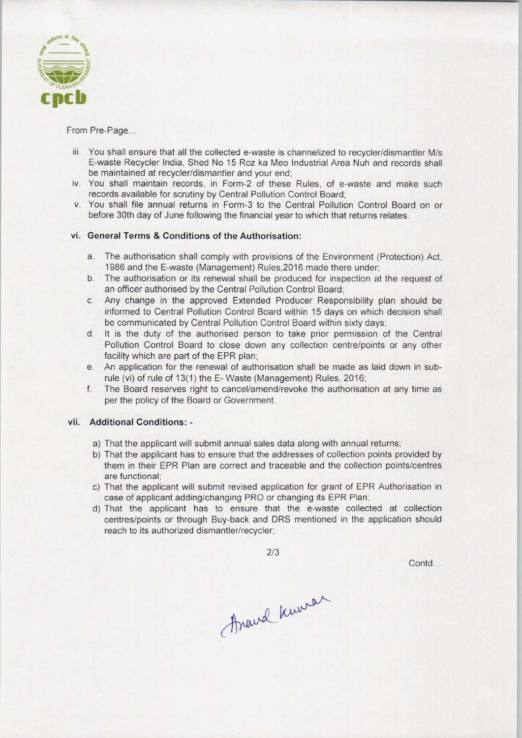

From Pre-Page...

- iii. You shall ensure that all the collected e-waste is channelized to recycler/dismantler M/s E-waste Recycler India, Shed No 15 Roz ka Meo Industrial Area Nuh and records shall be maintained at recycler/dismantler and your end;
- iv. You shall maintain records, in Form-2 of these Rules, of e-waste and make such records available for scrutiny by Central Pollution Control Board;
- v. You shall file annual returns in Form-3 to the Central Pollution Control Board on or before 30th day of June following the financial year to which that returns relates.

## vi. General Terms & Conditions of the Authorisation:

- a.The authorisation shall comply with provisions of the Environment (Protection) Act, 1986 and the E-waste (Management) Rules,2016 made there under;
- b. The authorisation or its renewal shall be produced for inspection at the request of an officer authorised by the Central Pollution Control Board;
- c.Any change in the approved Extended Producer Responsibility plan should be informed to Central Pollution Control Board within 15 days on which decision shall be communicated by Central Pollution Control Board within sixty days;
- d. It is the duty of the authorised person to take prior permission of the Central Pollution Control Board to close down any collection centre/points or any other facility which are part of the EPR plan;
- e.An application for the renewal of authorisation shall be made aslaid down in subrule (vi) of rule of 13(1) the E- Waste (Management) Rules, 2016;
- f. The Board reserves right to cancel/amend/revoke the authorisation at any time as per the policy of the Board or Government.

## vii. Additional Conditions: -

- a) That the applicant will submit annual sales data along with annual returns;
- b) That the applicant has to ensure that the addresses of collection points provided by them in their EPR Plan are correct and traceable and the collection points/centres are functional;
- c) That the applicant will submit revised application for grant of EPR Authorisation in case of applicant adding/changing PRO or changing its EPR Plan;
- d)That the applicant has to ensure that the e-waste collected at collection centres/points or through Buy-back and DRS mentioned in the application should reach to its authorized dismantler/recycler;

2/3

Contd...

Arand Knower